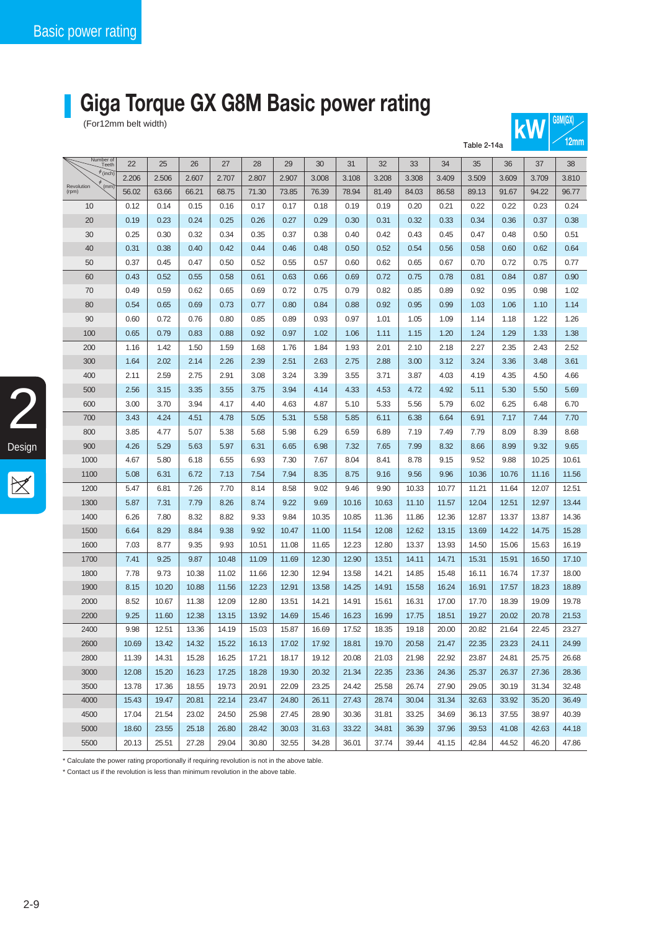## **Giga Torque GX G8M Basic power rating**

For12mm belt width)

|                             | Table 2-14a  |              |              |              |              |              |                |                |                |                |                |                |                | <u>14000</u>   |                |
|-----------------------------|--------------|--------------|--------------|--------------|--------------|--------------|----------------|----------------|----------------|----------------|----------------|----------------|----------------|----------------|----------------|
| Number of<br>Teeth          | 22           | 25           | 26           | 27           | 28           | 29           | 30             | 31             | 32             | 33             | 34             | 35             | 36             | 37             | 38             |
| $\phi$ (inch)               | 2.206        | 2.506        | 2.607        | 2.707        | 2.807        | 2.907        | 3.008          | 3.108          | 3.208          | 3.308          | 3.409          | 3.509          | 3.609          | 3.709          | 3.810          |
| (mm)<br>Revolution<br>(rpm) | 56.02        | 63.66        | 66.21        | 68.75        | 71.30        | 73.85        | 76.39          | 78.94          | 81.49          | 84.03          | 86.58          | 89.13          | 91.67          | 94.22          | 96.77          |
| 10                          | 0.12         | 0.14         | 0.15         | 0.16         | 0.17         | 0.17         | 0.18           | 0.19           | 0.19           | 0.20           | 0.21           | 0.22           | 0.22           | 0.23           | 0.24           |
| 20                          | 0.19         | 0.23         | 0.24         | 0.25         | 0.26         | 0.27         | 0.29           | 0.30           | 0.31           | 0.32           | 0.33           | 0.34           | 0.36           | 0.37           | 0.38           |
| 30                          | 0.25         | 0.30         | 0.32         | 0.34         | 0.35         | 0.37         | 0.38           | 0.40           | 0.42           | 0.43           | 0.45           | 0.47           | 0.48           | 0.50           | 0.51           |
| 40                          | 0.31         | 0.38         | 0.40         | 0.42         | 0.44         | 0.46         | 0.48           | 0.50           | 0.52           | 0.54           | 0.56           | 0.58           | 0.60           | 0.62           | 0.64           |
| 50                          | 0.37         | 0.45         | 0.47         | 0.50         | 0.52         | 0.55         | 0.57           | 0.60           | 0.62           | 0.65           | 0.67           | 0.70           | 0.72           | 0.75           | 0.77           |
| 60                          | 0.43         | 0.52         | 0.55         | 0.58         | 0.61         | 0.63         | 0.66           | 0.69           | 0.72           | 0.75           | 0.78           | 0.81           | 0.84           | 0.87           | 0.90           |
| 70                          | 0.49         | 0.59         | 0.62         | 0.65         | 0.69         | 0.72         | 0.75           | 0.79           | 0.82           | 0.85           | 0.89           | 0.92           | 0.95           | 0.98           | 1.02           |
| 80                          | 0.54         | 0.65         | 0.69         | 0.73         | 0.77         | 0.80         | 0.84           | 0.88           | 0.92           | 0.95           | 0.99           | 1.03           | 1.06           | 1.10           | 1.14           |
| 90                          | 0.60         | 0.72         | 0.76         | 0.80         | 0.85         | 0.89         | 0.93           | 0.97           | 1.01           | 1.05           | 1.09           | 1.14           | 1.18           | 1.22           | 1.26           |
| 100                         | 0.65         | 0.79         | 0.83         | 0.88         | 0.92         | 0.97         | 1.02           | 1.06           | 1.11           | 1.15           | 1.20           | 1.24           | 1.29           | 1.33           | 1.38           |
| 200                         | 1.16         | 1.42         | 1.50         | 1.59         | 1.68         | 1.76         | 1.84           | 1.93           | 2.01           | 2.10           | 2.18           | 2.27           | 2.35           | 2.43           | 2.52           |
| 300                         | 1.64         | 2.02         | 2.14         | 2.26         | 2.39         | 2.51         | 2.63           | 2.75           | 2.88           | 3.00           | 3.12           | 3.24           | 3.36           | 3.48           | 3.61           |
| 400                         | 2.11         | 2.59         | 2.75         | 2.91         | 3.08         | 3.24         | 3.39           | 3.55           | 3.71           | 3.87           | 4.03           | 4.19           | 4.35           | 4.50           | 4.66           |
| 500                         | 2.56         | 3.15         | 3.35         | 3.55         | 3.75         | 3.94         | 4.14           | 4.33           | 4.53           | 4.72           | 4.92           | 5.11           | 5.30           | 5.50           | 5.69           |
| 600                         | 3.00         | 3.70         | 3.94         | 4.17         | 4.40         | 4.63         | 4.87           | 5.10           | 5.33           | 5.56           | 5.79           | 6.02           | 6.25           | 6.48           | 6.70           |
| 700                         | 3.43         | 4.24         | 4.51         | 4.78         | 5.05         | 5.31         | 5.58           | 5.85           | 6.11           | 6.38           | 6.64           | 6.91           | 7.17           | 7.44           | 7.70           |
| 800                         | 3.85         | 4.77         | 5.07         | 5.38         | 5.68         | 5.98         | 6.29           | 6.59           | 6.89           | 7.19           | 7.49           | 7.79           | 8.09           | 8.39           | 8.68           |
| 900                         | 4.26         | 5.29         | 5.63         | 5.97         | 6.31         | 6.65         | 6.98           | 7.32           | 7.65           | 7.99           | 8.32           | 8.66           | 8.99           | 9.32           | 9.65           |
| 1000                        | 4.67         | 5.80         | 6.18         | 6.55         | 6.93         | 7.30         | 7.67           | 8.04           | 8.41           | 8.78           | 9.15           | 9.52           | 9.88           | 10.25          | 10.61          |
| 1100                        | 5.08         | 6.31         | 6.72         | 7.13         | 7.54         | 7.94         | 8.35           | 8.75           | 9.16           | 9.56           | 9.96           | 10.36          | 10.76          | 11.16          | 11.56          |
| 1200                        | 5.47         | 6.81         | 7.26         | 7.70         | 8.14         | 8.58         | 9.02           | 9.46           | 9.90           | 10.33          | 10.77          | 11.21          | 11.64          | 12.07          | 12.51          |
| 1300<br>1400                | 5.87         | 7.31<br>7.80 | 7.79         | 8.26<br>8.82 | 8.74         | 9.22<br>9.84 | 9.69           | 10.16          | 10.63          | 11.10<br>11.86 | 11.57          | 12.04<br>12.87 | 12.51          | 12.97          | 13.44          |
| 1500                        | 6.26<br>6.64 | 8.29         | 8.32<br>8.84 | 9.38         | 9.33<br>9.92 | 10.47        | 10.35<br>11.00 | 10.85<br>11.54 | 11.36<br>12.08 | 12.62          | 12.36<br>13.15 | 13.69          | 13.37<br>14.22 | 13.87<br>14.75 | 14.36<br>15.28 |
| 1600                        | 7.03         | 8.77         | 9.35         | 9.93         | 10.51        | 11.08        | 11.65          | 12.23          | 12.80          | 13.37          | 13.93          | 14.50          | 15.06          | 15.63          | 16.19          |
| 1700                        | 7.41         | 9.25         | 9.87         | 10.48        | 11.09        | 11.69        | 12.30          | 12.90          | 13.51          | 14.11          | 14.71          | 15.31          | 15.91          | 16.50          | 17.10          |
| 1800                        | 7.78         | 9.73         | 10.38        | 11.02        | 11.66        | 12.30        | 12.94          | 13.58          | 14.21          | 14.85          | 15.48          | 16.11          | 16.74          | 17.37          | 18.00          |
| 1900                        | 8.15         | 10.20        | 10.88        | 11.56        | 12.23        | 12.91        | 13.58          | 14.25          | 14.91          | 15.58          | 16.24          | 16.91          | 17.57          | 18.23          | 18.89          |
| 2000                        | 8.52         | 10.67        | 11.38        | 12.09        | 12.80        | 13.51        | 14.21          | 14.91          | 15.61          | 16.31          | 17.00          | 17.70          | 18.39          | 19.09          | 19.78          |
| 2200                        | 9.25         | 11.60        | 12.38        | 13.15        | 13.92        | 14.69        | 15.46          | 16.23          | 16.99          | 17.75          | 18.51          | 19.27          | 20.02          | 20.78          | 21.53          |
| 2400                        | 9.98         | 12.51        | 13.36        | 14.19        | 15.03        | 15.87        | 16.69          | 17.52          | 18.35          | 19.18          | 20.00          | 20.82          | 21.64          | 22.45          | 23.27          |
| 2600                        | 10.69        | 13.42        | 14.32        | 15.22        | 16.13        | 17.02        | 17.92          | 18.81          | 19.70          | 20.58          | 21.47          | 22.35          | 23.23          | 24.11          | 24.99          |
| 2800                        | 11.39        | 14.31        | 15.28        | 16.25        | 17.21        | 18.17        | 19.12          | 20.08          | 21.03          | 21.98          | 22.92          | 23.87          | 24.81          | 25.75          | 26.68          |
| 3000                        | 12.08        | 15.20        | 16.23        | 17.25        | 18.28        | 19.30        | 20.32          | 21.34          | 22.35          | 23.36          | 24.36          | 25.37          | 26.37          | 27.36          | 28.36          |
| 3500                        | 13.78        | 17.36        | 18.55        | 19.73        | 20.91        | 22.09        | 23.25          | 24.42          | 25.58          | 26.74          | 27.90          | 29.05          | 30.19          | 31.34          | 32.48          |
| 4000                        | 15.43        | 19.47        | 20.81        | 22.14        | 23.47        | 24.80        | 26.11          | 27.43          | 28.74          | 30.04          | 31.34          | 32.63          | 33.92          | 35.20          | 36.49          |
| 4500                        | 17.04        | 21.54        | 23.02        | 24.50        | 25.98        | 27.45        | 28.90          | 30.36          | 31.81          | 33.25          | 34.69          | 36.13          | 37.55          | 38.97          | 40.39          |
| 5000                        | 18.60        | 23.55        | 25.18        | 26.80        | 28.42        | 30.03        | 31.63          | 33.22          | 34.81          | 36.39          | 37.96          | 39.53          | 41.08          | 42.63          | 44.18          |
| 5500                        | 20.13        | 25.51        | 27.28        | 29.04        | 30.80        | 32.55        | 34.28          | 36.01          | 37.74          | 39.44          | 41.15          | 42.84          | 44.52          | 46.20          | 47.86          |

 $k$ **W** G8M(GX)

\* Calculate the power rating proportionally if requiring revolution is not in the above table.

\* Contact us if the revolution is less than minimum revolution in the above table.

2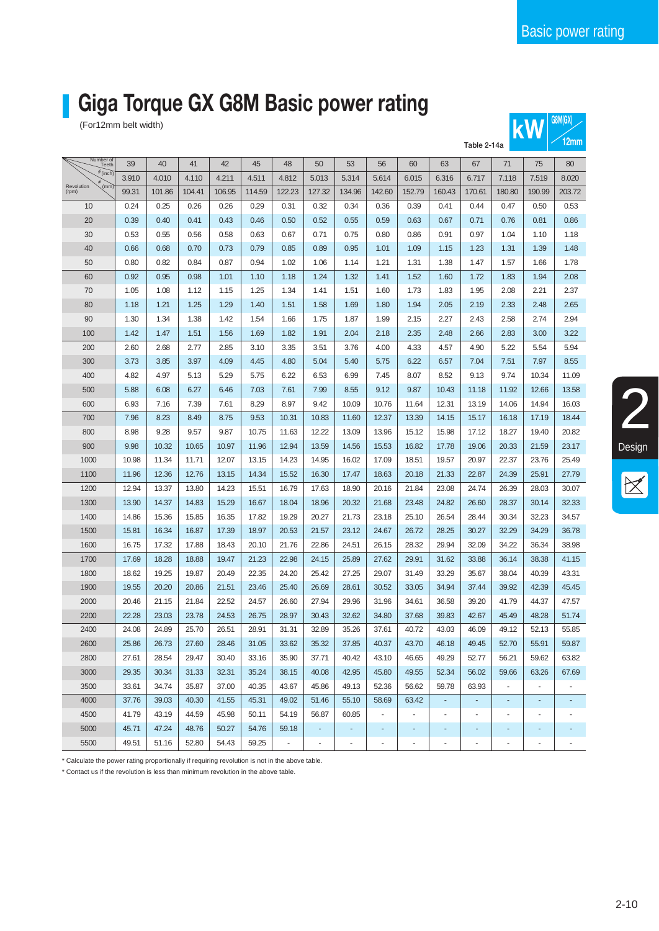2

Design

**12 MW 12M 12M 12M 12M** 

# **Giga Torque GX G8M Basic power rating**

(For12mm belt width)

|                             |       |        |        |        |        |                |                          |        |        |                          |        | Table 2-14a |                          |                | <b>ILIIIIII</b> |
|-----------------------------|-------|--------|--------|--------|--------|----------------|--------------------------|--------|--------|--------------------------|--------|-------------|--------------------------|----------------|-----------------|
| Number of<br>Teeth          | 39    | 40     | 41     | 42     | 45     | 48             | 50                       | 53     | 56     | 60                       | 63     | 67          | 71                       | 75             | 80              |
| $\phi$ (inch)               | 3.910 | 4.010  | 4.110  | 4.211  | 4.511  | 4.812          | 5.013                    | 5.314  | 5.614  | 6.015                    | 6.316  | 6.717       | 7.118                    | 7.519          | 8.020           |
| (mm)<br>Revolution<br>(rpm) | 99.31 | 101.86 | 104.41 | 106.95 | 114.59 | 122.23         | 127.32                   | 134.96 | 142.60 | 152.79                   | 160.43 | 170.61      | 180.80                   | 190.99         | 203.72          |
| 10                          | 0.24  | 0.25   | 0.26   | 0.26   | 0.29   | 0.31           | 0.32                     | 0.34   | 0.36   | 0.39                     | 0.41   | 0.44        | 0.47                     | 0.50           | 0.53            |
| 20                          | 0.39  | 0.40   | 0.41   | 0.43   | 0.46   | 0.50           | 0.52                     | 0.55   | 0.59   | 0.63                     | 0.67   | 0.71        | 0.76                     | 0.81           | 0.86            |
| 30                          | 0.53  | 0.55   | 0.56   | 0.58   | 0.63   | 0.67           | 0.71                     | 0.75   | 0.80   | 0.86                     | 0.91   | 0.97        | 1.04                     | 1.10           | 1.18            |
| 40                          | 0.66  | 0.68   | 0.70   | 0.73   | 0.79   | 0.85           | 0.89                     | 0.95   | 1.01   | 1.09                     | 1.15   | 1.23        | 1.31                     | 1.39           | 1.48            |
| 50                          | 0.80  | 0.82   | 0.84   | 0.87   | 0.94   | 1.02           | 1.06                     | 1.14   | 1.21   | 1.31                     | 1.38   | 1.47        | 1.57                     | 1.66           | 1.78            |
| 60                          | 0.92  | 0.95   | 0.98   | 1.01   | 1.10   | 1.18           | 1.24                     | 1.32   | 1.41   | 1.52                     | 1.60   | 1.72        | 1.83                     | 1.94           | 2.08            |
| 70                          | 1.05  | 1.08   | 1.12   | 1.15   | 1.25   | 1.34           | 1.41                     | 1.51   | 1.60   | 1.73                     | 1.83   | 1.95        | 2.08                     | 2.21           | 2.37            |
| 80                          | 1.18  | 1.21   | 1.25   | 1.29   | 1.40   | 1.51           | 1.58                     | 1.69   | 1.80   | 1.94                     | 2.05   | 2.19        | 2.33                     | 2.48           | 2.65            |
| 90                          | 1.30  | 1.34   | 1.38   | 1.42   | 1.54   | 1.66           | 1.75                     | 1.87   | 1.99   | 2.15                     | 2.27   | 2.43        | 2.58                     | 2.74           | 2.94            |
| 100                         | 1.42  | 1.47   | 1.51   | 1.56   | 1.69   | 1.82           | 1.91                     | 2.04   | 2.18   | 2.35                     | 2.48   | 2.66        | 2.83                     | 3.00           | 3.22            |
| 200                         | 2.60  | 2.68   | 2.77   | 2.85   | 3.10   | 3.35           | 3.51                     | 3.76   | 4.00   | 4.33                     | 4.57   | 4.90        | 5.22                     | 5.54           | 5.94            |
| 300                         | 3.73  | 3.85   | 3.97   | 4.09   | 4.45   | 4.80           | 5.04                     | 5.40   | 5.75   | 6.22                     | 6.57   | 7.04        | 7.51                     | 7.97           | 8.55            |
| 400                         | 4.82  | 4.97   | 5.13   | 5.29   | 5.75   | 6.22           | 6.53                     | 6.99   | 7.45   | 8.07                     | 8.52   | 9.13        | 9.74                     | 10.34          | 11.09           |
| 500                         | 5.88  | 6.08   | 6.27   | 6.46   | 7.03   | 7.61           | 7.99                     | 8.55   | 9.12   | 9.87                     | 10.43  | 11.18       | 11.92                    | 12.66          | 13.58           |
| 600                         | 6.93  | 7.16   | 7.39   | 7.61   | 8.29   | 8.97           | 9.42                     | 10.09  | 10.76  | 11.64                    | 12.31  | 13.19       | 14.06                    | 14.94          | 16.03           |
| 700                         | 7.96  | 8.23   | 8.49   | 8.75   | 9.53   | 10.31          | 10.83                    | 11.60  | 12.37  | 13.39                    | 14.15  | 15.17       | 16.18                    | 17.19          | 18.44           |
| 800                         | 8.98  | 9.28   | 9.57   | 9.87   | 10.75  | 11.63          | 12.22                    | 13.09  | 13.96  | 15.12                    | 15.98  | 17.12       | 18.27                    | 19.40          | 20.82           |
| 900                         | 9.98  | 10.32  | 10.65  | 10.97  | 11.96  | 12.94          | 13.59                    | 14.56  | 15.53  | 16.82                    | 17.78  | 19.06       | 20.33                    | 21.59          | 23.17           |
| 1000                        | 10.98 | 11.34  | 11.71  | 12.07  | 13.15  | 14.23          | 14.95                    | 16.02  | 17.09  | 18.51                    | 19.57  | 20.97       | 22.37                    | 23.76          | 25.49           |
| 1100                        | 11.96 | 12.36  | 12.76  | 13.15  | 14.34  | 15.52          | 16.30                    | 17.47  | 18.63  | 20.18                    | 21.33  | 22.87       | 24.39                    | 25.91          | 27.79           |
| 1200                        | 12.94 | 13.37  | 13.80  | 14.23  | 15.51  | 16.79          | 17.63                    | 18.90  | 20.16  | 21.84                    | 23.08  | 24.74       | 26.39                    | 28.03          | 30.07           |
| 1300                        | 13.90 | 14.37  | 14.83  | 15.29  | 16.67  | 18.04          | 18.96                    | 20.32  | 21.68  | 23.48                    | 24.82  | 26.60       | 28.37                    | 30.14          | 32.33           |
| 1400                        | 14.86 | 15.36  | 15.85  | 16.35  | 17.82  | 19.29          | 20.27                    | 21.73  | 23.18  | 25.10                    | 26.54  | 28.44       | 30.34                    | 32.23          | 34.57           |
| 1500                        | 15.81 | 16.34  | 16.87  | 17.39  | 18.97  | 20.53          | 21.57                    | 23.12  | 24.67  | 26.72                    | 28.25  | 30.27       | 32.29                    | 34.29          | 36.78           |
| 1600                        | 16.75 | 17.32  | 17.88  | 18.43  | 20.10  | 21.76          | 22.86                    | 24.51  | 26.15  | 28.32                    | 29.94  | 32.09       | 34.22                    | 36.34          | 38.98           |
| 1700                        | 17.69 | 18.28  | 18.88  | 19.47  | 21.23  | 22.98          | 24.15                    | 25.89  | 27.62  | 29.91                    | 31.62  | 33.88       | 36.14                    | 38.38          | 41.15           |
| 1800                        | 18.62 | 19.25  | 19.87  | 20.49  | 22.35  | 24.20          | 25.42                    | 27.25  | 29.07  | 31.49                    | 33.29  | 35.67       | 38.04                    | 40.39          | 43.31           |
| 1900                        | 19.55 | 20.20  | 20.86  | 21.51  | 23.46  | 25.40          | 26.69                    | 28.61  | 30.52  | 33.05                    | 34.94  | 37.44       | 39.92                    | 42.39          | 45.45           |
| 2000                        | 20.46 | 21.15  | 21.84  | 22.52  | 24.57  | 26.60          | 27.94                    | 29.96  | 31.96  | 34.61                    | 36.58  | 39.20       | 41.79                    | 44.37          | 47.57           |
| 2200                        | 22.28 | 23.03  | 23.78  | 24.53  | 26.75  | 28.97          | 30.43                    | 32.62  | 34.80  | 37.68                    | 39.83  | 42.67       | 45.49                    | 48.28          | 51.74           |
| 2400                        | 24.08 | 24.89  | 25.70  | 26.51  | 28.91  | 31.31          | 32.89                    | 35.26  | 37.61  | 40.72                    | 43.03  | 46.09       | 49.12                    | 52.13          | 55.85           |
| 2600                        | 25.86 | 26.73  | 27.60  | 28.46  | 31.05  | 33.62          | 35.32                    | 37.85  | 40.37  | 43.70                    | 46.18  | 49.45       | 52.70                    | 55.91          | 59.87           |
| 2800                        | 27.61 | 28.54  | 29.47  | 30.40  | 33.16  | 35.90          | 37.71                    | 40.42  | 43.10  | 46.65                    | 49.29  | 52.77       | 56.21                    | 59.62          | 63.82           |
| 3000                        | 29.35 | 30.34  | 31.33  | 32.31  | 35.24  | 38.15          | 40.08                    | 42.95  | 45.80  | 49.55                    | 52.34  | 56.02       | 59.66                    | 63.26          | 67.69           |
| 3500                        | 33.61 | 34.74  | 35.87  | 37.00  | 40.35  | 43.67          | 45.86                    | 49.13  | 52.36  | 56.62                    | 59.78  | 63.93       | $\blacksquare$           |                |                 |
| 4000                        | 37.76 | 39.03  | 40.30  | 41.55  | 45.31  | 49.02          | 51.46                    | 55.10  | 58.69  | 63.42                    | ٠      |             |                          |                |                 |
| 4500                        | 41.79 | 43.19  | 44.59  | 45.98  | 50.11  | 54.19          | 56.87                    | 60.85  | ÷,     |                          | $\sim$ |             | ÷,                       | L,             |                 |
| 5000                        | 45.71 | 47.24  | 48.76  | 50.27  | 54.76  | 59.18          | $\overline{\phantom{a}}$ | ۰      | ٠      | $\overline{a}$           | ٠      | ٠           | $\overline{\phantom{a}}$ | ٠              |                 |
| 5500                        | 49.51 | 51.16  | 52.80  | 54.43  | 59.25  | $\blacksquare$ | $\overline{\phantom{a}}$ | ÷,     | ÷      | $\overline{\phantom{a}}$ | ÷      | ÷,          | ÷,                       | $\blacksquare$ |                 |

\* Calculate the power rating proportionally if requiring revolution is not in the above table.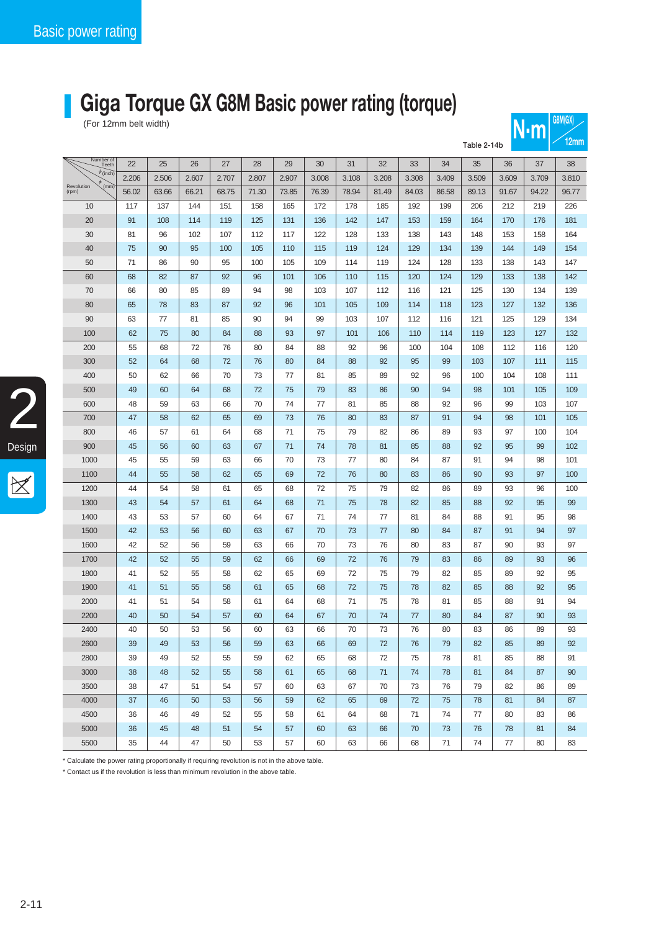## **Giga Torque GX G8M Basic power rating (torque)**

| <b>UOIVILUA)</b><br>(For 12mm belt width)<br>N·m |          |          |          |          |          |          |          |          |          |          |          |          |          |          |          |
|--------------------------------------------------|----------|----------|----------|----------|----------|----------|----------|----------|----------|----------|----------|----------|----------|----------|----------|
| Table 2-14b                                      |          |          |          |          |          |          |          |          |          |          |          |          |          | 12mm     |          |
| Number of<br>Teeth                               | 22       | 25       | 26       | 27       | 28       | 29       | 30       | 31       | 32       | 33       | 34       | 35       | 36       | 37       | 38       |
| $\phi$ (inch)                                    | 2.206    | 2.506    | 2.607    | 2.707    | 2.807    | 2.907    | 3.008    | 3.108    | 3.208    | 3.308    | 3.409    | 3.509    | 3.609    | 3.709    | 3.810    |
| (mm)<br>Revolution<br>(rpm)                      | 56.02    | 63.66    | 66.21    | 68.75    | 71.30    | 73.85    | 76.39    | 78.94    | 81.49    | 84.03    | 86.58    | 89.13    | 91.67    | 94.22    | 96.77    |
| 10                                               | 117      | 137      | 144      | 151      | 158      | 165      | 172      | 178      | 185      | 192      | 199      | 206      | 212      | 219      | 226      |
| 20                                               | 91       | 108      | 114      | 119      | 125      | 131      | 136      | 142      | 147      | 153      | 159      | 164      | 170      | 176      | 181      |
| 30                                               | 81       | 96       | 102      | 107      | 112      | 117      | 122      | 128      | 133      | 138      | 143      | 148      | 153      | 158      | 164      |
| 40                                               | 75       | 90       | 95       | 100      | 105      | 110      | 115      | 119      | 124      | 129      | 134      | 139      | 144      | 149      | 154      |
| 50                                               | 71       | 86       | 90       | 95       | 100      | 105      | 109      | 114      | 119      | 124      | 128      | 133      | 138      | 143      | 147      |
| 60                                               | 68       | 82       | 87       | 92       | 96       | 101      | 106      | 110      | 115      | 120      | 124      | 129      | 133      | 138      | 142      |
| 70                                               | 66       | 80       | 85       | 89       | 94       | 98       | 103      | 107      | 112      | 116      | 121      | 125      | 130      | 134      | 139      |
| 80                                               | 65       | 78       | 83       | 87       | 92       | 96       | 101      | 105      | 109      | 114      | 118      | 123      | 127      | 132      | 136      |
| 90                                               | 63       | 77       | 81       | 85       | 90       | 94       | 99       | 103      | 107      | 112      | 116      | 121      | 125      | 129      | 134      |
| 100                                              | 62       | 75       | 80       | 84       | 88       | 93       | 97       | 101      | 106      | 110      | 114      | 119      | 123      | 127      | 132      |
| 200                                              | 55       | 68       | 72       | 76       | 80       | 84       | 88       | 92       | 96       | 100      | 104      | 108      | 112      | 116      | 120      |
| 300                                              | 52       | 64       | 68       | 72       | 76       | 80       | 84       | 88       | 92       | 95       | 99       | 103      | 107      | 111      | 115      |
| 400                                              | 50       | 62       | 66       | 70       | 73       | 77       | 81       | 85       | 89       | 92       | 96       | 100      | 104      | 108      | 111      |
| 500                                              | 49       | 60       | 64       | 68       | 72       | 75       | 79       | 83       | 86       | 90       | 94       | 98       | 101      | 105      | 109      |
| 600                                              | 48       | 59       | 63       | 66       | 70       | 74       | 77       | 81       | 85       | 88       | 92       | 96       | 99       | 103      | 107      |
| 700                                              | 47       | 58       | 62       | 65       | 69       | 73       | 76       | 80       | 83       | 87       | 91       | 94       | 98       | 101      | 105      |
| 800                                              | 46       | 57       | 61       | 64       | 68       | 71       | 75       | 79       | 82       | 86       | 89       | 93       | 97       | 100      | 104      |
| 900                                              | 45       | 56       | 60       | 63       | 67       | 71       | 74       | 78       | 81       | 85       | 88       | 92       | 95       | 99       | 102      |
| 1000                                             | 45       | 55       | 59       | 63       | 66       | 70       | 73       | 77       | 80       | 84       | 87       | 91       | 94       | 98       | 101      |
| 1100                                             | 44       | 55       | 58       | 62       | 65       | 69       | 72       | 76       | 80       | 83       | 86       | 90       | 93       | 97       | 100      |
| 1200                                             | 44       | 54       | 58       | 61       | 65       | 68       | 72       | 75       | 79       | 82       | 86       | 89       | 93       | 96       | 100      |
| 1300                                             | 43       | 54       | 57       | 61       | 64       | 68       | 71       | 75<br>74 | 78       | 82       | 85       | 88       | 92       | 95       | 99       |
| 1400<br>1500                                     | 43<br>42 | 53<br>53 | 57<br>56 | 60<br>60 | 64<br>63 | 67<br>67 | 71<br>70 | 73       | 77<br>77 | 81<br>80 | 84<br>84 | 88<br>87 | 91<br>91 | 95<br>94 | 98<br>97 |
| 1600                                             | 42       | 52       | 56       | 59       | 63       | 66       | 70       | 73       | 76       | 80       | 83       | 87       | 90       | 93       | 97       |
| 1700                                             | 42       | 52       | 55       | 59       | 62       | 66       | 69       | 72       | 76       | 79       | 83       | 86       | 89       | 93       | 96       |
| 1800                                             | 41       | 52       | 55       | 58       | 62       | 65       | 69       | 72       | 75       | 79       | 82       | 85       | 89       | 92       | 95       |
| 1900                                             | 41       | 51       | 55       | 58       | 61       | 65       | 68       | 72       | 75       | 78       | 82       | 85       | 88       | 92       | 95       |
| 2000                                             | 41       | 51       | 54       | 58       | 61       | 64       | 68       | 71       | 75       | 78       | 81       | 85       | 88       | 91       | 94       |
| 2200                                             | 40       | 50       | 54       | 57       | 60       | 64       | 67       | $70\,$   | 74       | $77\,$   | 80       | 84       | 87       | 90       | 93       |
| 2400                                             | 40       | 50       | 53       | 56       | 60       | 63       | 66       | 70       | 73       | 76       | 80       | 83       | 86       | 89       | 93       |
| 2600                                             | 39       | 49       | 53       | 56       | 59       | 63       | 66       | 69       | 72       | 76       | 79       | 82       | 85       | 89       | 92       |
| 2800                                             | 39       | 49       | 52       | 55       | 59       | 62       | 65       | 68       | 72       | 75       | 78       | 81       | 85       | 88       | 91       |
| 3000                                             | 38       | 48       | 52       | 55       | 58       | 61       | 65       | 68       | 71       | 74       | 78       | 81       | 84       | 87       | 90       |
| 3500                                             | 38       | 47       | 51       | 54       | 57       | 60       | 63       | 67       | 70       | 73       | 76       | 79       | 82       | 86       | 89       |
| 4000                                             | 37       | 46       | 50       | 53       | 56       | 59       | 62       | 65       | 69       | 72       | 75       | 78       | 81       | 84       | 87       |
| 4500                                             | 36       | 46       | 49       | 52       | 55       | 58       | 61       | 64       | 68       | 71       | 74       | 77       | 80       | 83       | 86       |
| 5000                                             | 36       | 45       | 48       | 51       | 54       | 57       | 60       | 63       | 66       | 70       | 73       | 76       | 78       | 81       | 84       |
| 5500                                             | 35       | 44       | 47       | 50       | 53       | 57       | 60       | 63       | 66       | 68       | 71       | 74       | 77       | 80       | 83       |

\* Calculate the power rating proportionally if requiring revolution is not in the above table.

\* Contact us if the revolution is less than minimum revolution in the above table.

2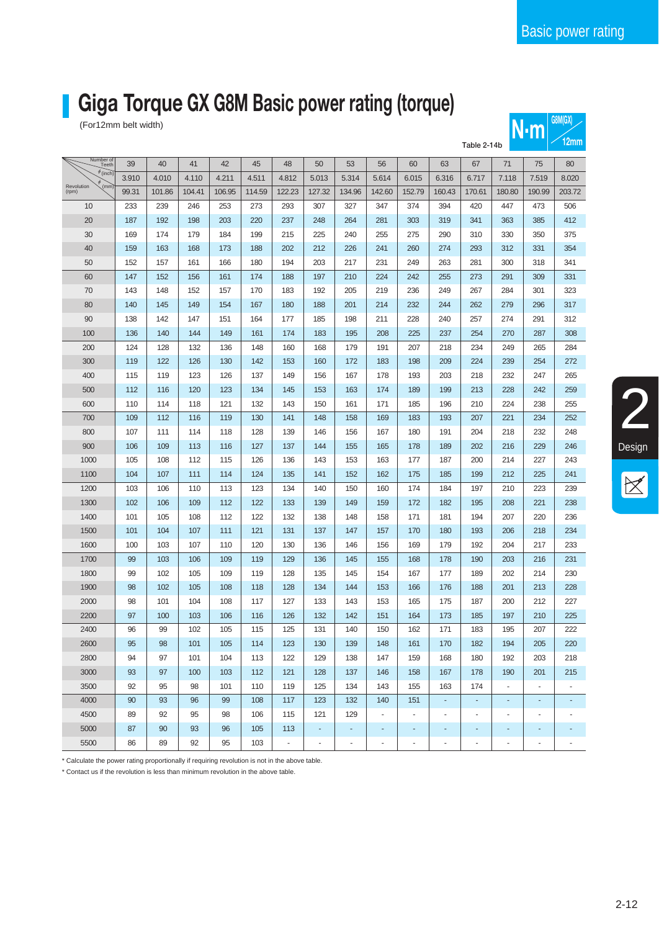2

Design

### **Giga Torque GX G8M Basic power rating (torque)**

| <b>UOIVILUA)</b><br>(For12mm belt width)<br>$N \cdot m$ |       |        |        |        |        |          |        |                |        |                |                |                |                |          |                          |
|---------------------------------------------------------|-------|--------|--------|--------|--------|----------|--------|----------------|--------|----------------|----------------|----------------|----------------|----------|--------------------------|
| Table 2-14b                                             |       |        |        |        |        |          |        |                |        |                |                |                |                | 12mm     |                          |
| Number of<br>Teeth                                      | 39    | 40     | 41     | 42     | 45     | 48       | 50     | 53             | 56     | 60             | 63             | 67             | 71             | 75       | 80                       |
| $\phi$ (inch)                                           | 3.910 | 4.010  | 4.110  | 4.211  | 4.511  | 4.812    | 5.013  | 5.314          | 5.614  | 6.015          | 6.316          | 6.717          | 7.118          | 7.519    | 8.020                    |
| (mm)<br>Revolution<br>(rpm)                             | 99.31 | 101.86 | 104.41 | 106.95 | 114.59 | 122.23   | 127.32 | 134.96         | 142.60 | 152.79         | 160.43         | 170.61         | 180.80         | 190.99   | 203.72                   |
| 10                                                      | 233   | 239    | 246    | 253    | 273    | 293      | 307    | 327            | 347    | 374            | 394            | 420            | 447            | 473      | 506                      |
| 20                                                      | 187   | 192    | 198    | 203    | 220    | 237      | 248    | 264            | 281    | 303            | 319            | 341            | 363            | 385      | 412                      |
| 30                                                      | 169   | 174    | 179    | 184    | 199    | 215      | 225    | 240            | 255    | 275            | 290            | 310            | 330            | 350      | 375                      |
| 40                                                      | 159   | 163    | 168    | 173    | 188    | 202      | 212    | 226            | 241    | 260            | 274            | 293            | 312            | 331      | 354                      |
| 50                                                      | 152   | 157    | 161    | 166    | 180    | 194      | 203    | 217            | 231    | 249            | 263            | 281            | 300            | 318      | 341                      |
| 60                                                      | 147   | 152    | 156    | 161    | 174    | 188      | 197    | 210            | 224    | 242            | 255            | 273            | 291            | 309      | 331                      |
| 70                                                      | 143   | 148    | 152    | 157    | 170    | 183      | 192    | 205            | 219    | 236            | 249            | 267            | 284            | 301      | 323                      |
| 80                                                      | 140   | 145    | 149    | 154    | 167    | 180      | 188    | 201            | 214    | 232            | 244            | 262            | 279            | 296      | 317                      |
| 90                                                      | 138   | 142    | 147    | 151    | 164    | 177      | 185    | 198            | 211    | 228            | 240            | 257            | 274            | 291      | 312                      |
| 100                                                     | 136   | 140    | 144    | 149    | 161    | 174      | 183    | 195            | 208    | 225            | 237            | 254            | 270            | 287      | 308                      |
| 200                                                     | 124   | 128    | 132    | 136    | 148    | 160      | 168    | 179            | 191    | 207            | 218            | 234            | 249            | 265      | 284                      |
| 300                                                     | 119   | 122    | 126    | 130    | 142    | 153      | 160    | 172            | 183    | 198            | 209            | 224            | 239            | 254      | 272                      |
| 400                                                     | 115   | 119    | 123    | 126    | 137    | 149      | 156    | 167            | 178    | 193            | 203            | 218            | 232            | 247      | 265                      |
| 500                                                     | 112   | 116    | 120    | 123    | 134    | 145      | 153    | 163            | 174    | 189            | 199            | 213            | 228            | 242      | 259                      |
| 600                                                     | 110   | 114    | 118    | 121    | 132    | 143      | 150    | 161            | 171    | 185            | 196            | 210            | 224            | 238      | 255                      |
| 700                                                     | 109   | 112    | 116    | 119    | 130    | 141      | 148    | 158            | 169    | 183            | 193            | 207            | 221            | 234      | 252                      |
| 800                                                     | 107   | 111    | 114    | 118    | 128    | 139      | 146    | 156            | 167    | 180            | 191            | 204            | 218            | 232      | 248                      |
| 900                                                     | 106   | 109    | 113    | 116    | 127    | 137      | 144    | 155            | 165    | 178            | 189            | 202            | 216            | 229      | 246                      |
| 1000                                                    | 105   | 108    | 112    | 115    | 126    | 136      | 143    | 153            | 163    | 177            | 187            | 200            | 214            | 227      | 243                      |
| 1100                                                    | 104   | 107    | 111    | 114    | 124    | 135      | 141    | 152            | 162    | 175            | 185            | 199            | 212            | 225      | 241                      |
| 1200                                                    | 103   | 106    | 110    | 113    | 123    | 134      | 140    | 150            | 160    | 174            | 184            | 197            | 210            | 223      | 239                      |
| 1300                                                    | 102   | 106    | 109    | 112    | 122    | 133      | 139    | 149            | 159    | 172            | 182            | 195            | 208            | 221      | 238                      |
| 1400                                                    | 101   | 105    | 108    | 112    | 122    | 132      | 138    | 148            | 158    | 171            | 181            | 194            | 207            | 220      | 236                      |
| 1500                                                    | 101   | 104    | 107    | 111    | 121    | 131      | 137    | 147            | 157    | 170            | 180            | 193            | 206            | 218      | 234                      |
| 1600                                                    | 100   | 103    | 107    | 110    | 120    | 130      | 136    | 146            | 156    | 169            | 179            | 192            | 204            | 217      | 233                      |
| 1700                                                    | 99    | 103    | 106    | 109    | 119    | 129      | 136    | 145            | 155    | 168            | 178            | 190            | 203            | 216      | 231                      |
| 1800                                                    | 99    | 102    | 105    | 109    | 119    | 128      | 135    | 145            | 154    | 167            | 177            | 189            | 202            | 214      | 230                      |
| 1900                                                    | 98    | 102    | 105    | 108    | 118    | 128      | 134    | 144            | 153    | 166            | 176            | 188            | 201            | 213      | 228                      |
| 2000                                                    | 98    | 101    | 104    | 108    | 117    | 127      | 133    | 143            | 153    | 165            | 175            | 187            | 200            | 212      | 227                      |
| 2200                                                    | 97    | 100    | 103    | 106    | 116    | 126      | 132    | 142            | 151    | 164            | $173$          | 185            | 197            | 210      | 225                      |
| 2400                                                    | 96    | 99     | 102    | 105    | 115    | 125      | 131    | 140            | 150    | 162            | 171            | 183            | 195            | 207      | 222                      |
| 2600                                                    | 95    | 98     | 101    | 105    | 114    | 123      | 130    | 139            | 148    | 161            | 170            | 182            | 194            | 205      | 220                      |
| 2800                                                    | 94    | 97     | 101    | 104    | 113    | 122      | 129    | 138            | 147    | 159            | 168            | 180            | 192            | 203      | 218                      |
| 3000                                                    | 93    | 97     | 100    | 103    | 112    | 121      | 128    | 137            | 146    | 158            | 167            | 178            | 190            | 201      | 215                      |
| 3500                                                    | 92    | 95     | 98     | 101    | 110    | 119      | 125    | 134            | 143    | 155            | 163            | 174            | ä,             | ä,       | $\overline{\phantom{a}}$ |
| 4000                                                    | 90    | 93     | 96     | 99     | 108    | 117      | 123    | 132            | 140    | 151            | $\blacksquare$ | $\blacksquare$ | ÷              | $\equiv$ | ٠                        |
| 4500                                                    | 89    | 92     | 95     | 98     | 106    | 115      | 121    | 129            | ä,     | ÷.             | $\blacksquare$ |                | $\blacksquare$ | ÷.       | $\blacksquare$           |
| 5000                                                    | 87    | 90     | 93     | 96     | 105    | 113      | ÷      | $\blacksquare$ | ۰      | ۰              | ۰              |                | ۰              | ۰        |                          |
| 5500                                                    | 86    | 89     | 92     | 95     | 103    | $\omega$ | $\Box$ | ÷.             | ÷.     | $\blacksquare$ | $\Box$         | ÷.             | $\blacksquare$ | ÷.       | ÷,                       |

\* Calculate the power rating proportionally if requiring revolution is not in the above table.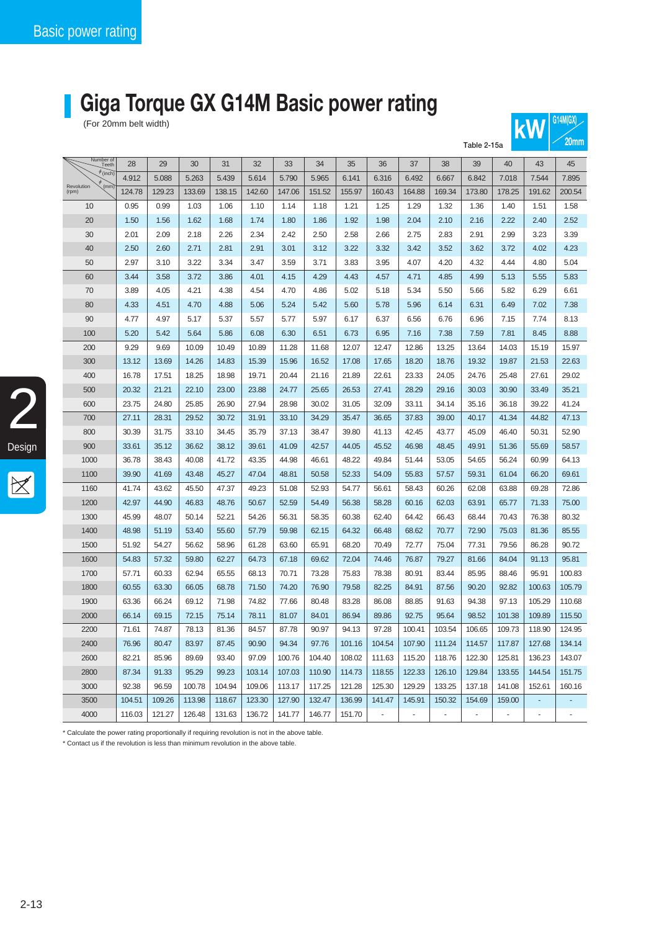## **Giga Torque GX G14M Basic power rating**

For 20mm belt width)

|                             | Table 2-15a |        |        |        |        |        |        |        |                          |                |        |        |        | <b>LUITTII</b> |        |
|-----------------------------|-------------|--------|--------|--------|--------|--------|--------|--------|--------------------------|----------------|--------|--------|--------|----------------|--------|
| Number of<br>Teeth          | 28          | 29     | 30     | 31     | 32     | 33     | 34     | 35     | 36                       | 37             | 38     | 39     | 40     | 43             | 45     |
| $\phi$ (inch)               | 4.912       | 5.088  | 5.263  | 5.439  | 5.614  | 5.790  | 5.965  | 6.141  | 6.316                    | 6.492          | 6.667  | 6.842  | 7.018  | 7.544          | 7.895  |
| (mm)<br>Revolution<br>(rpm) | 124.78      | 129.23 | 133.69 | 138.15 | 142.60 | 147.06 | 151.52 | 155.97 | 160.43                   | 164.88         | 169.34 | 173.80 | 178.25 | 191.62         | 200.54 |
| 10                          | 0.95        | 0.99   | 1.03   | 1.06   | 1.10   | 1.14   | 1.18   | 1.21   | 1.25                     | 1.29           | 1.32   | 1.36   | 1.40   | 1.51           | 1.58   |
| 20                          | 1.50        | 1.56   | 1.62   | 1.68   | 1.74   | 1.80   | 1.86   | 1.92   | 1.98                     | 2.04           | 2.10   | 2.16   | 2.22   | 2.40           | 2.52   |
| 30                          | 2.01        | 2.09   | 2.18   | 2.26   | 2.34   | 2.42   | 2.50   | 2.58   | 2.66                     | 2.75           | 2.83   | 2.91   | 2.99   | 3.23           | 3.39   |
| 40                          | 2.50        | 2.60   | 2.71   | 2.81   | 2.91   | 3.01   | 3.12   | 3.22   | 3.32                     | 3.42           | 3.52   | 3.62   | 3.72   | 4.02           | 4.23   |
| 50                          | 2.97        | 3.10   | 3.22   | 3.34   | 3.47   | 3.59   | 3.71   | 3.83   | 3.95                     | 4.07           | 4.20   | 4.32   | 4.44   | 4.80           | 5.04   |
| 60                          | 3.44        | 3.58   | 3.72   | 3.86   | 4.01   | 4.15   | 4.29   | 4.43   | 4.57                     | 4.71           | 4.85   | 4.99   | 5.13   | 5.55           | 5.83   |
| 70                          | 3.89        | 4.05   | 4.21   | 4.38   | 4.54   | 4.70   | 4.86   | 5.02   | 5.18                     | 5.34           | 5.50   | 5.66   | 5.82   | 6.29           | 6.61   |
| 80                          | 4.33        | 4.51   | 4.70   | 4.88   | 5.06   | 5.24   | 5.42   | 5.60   | 5.78                     | 5.96           | 6.14   | 6.31   | 6.49   | 7.02           | 7.38   |
| 90                          | 4.77        | 4.97   | 5.17   | 5.37   | 5.57   | 5.77   | 5.97   | 6.17   | 6.37                     | 6.56           | 6.76   | 6.96   | 7.15   | 7.74           | 8.13   |
| 100                         | 5.20        | 5.42   | 5.64   | 5.86   | 6.08   | 6.30   | 6.51   | 6.73   | 6.95                     | 7.16           | 7.38   | 7.59   | 7.81   | 8.45           | 8.88   |
| 200                         | 9.29        | 9.69   | 10.09  | 10.49  | 10.89  | 11.28  | 11.68  | 12.07  | 12.47                    | 12.86          | 13.25  | 13.64  | 14.03  | 15.19          | 15.97  |
| 300                         | 13.12       | 13.69  | 14.26  | 14.83  | 15.39  | 15.96  | 16.52  | 17.08  | 17.65                    | 18.20          | 18.76  | 19.32  | 19.87  | 21.53          | 22.63  |
| 400                         | 16.78       | 17.51  | 18.25  | 18.98  | 19.71  | 20.44  | 21.16  | 21.89  | 22.61                    | 23.33          | 24.05  | 24.76  | 25.48  | 27.61          | 29.02  |
| 500                         | 20.32       | 21.21  | 22.10  | 23.00  | 23.88  | 24.77  | 25.65  | 26.53  | 27.41                    | 28.29          | 29.16  | 30.03  | 30.90  | 33.49          | 35.21  |
| 600                         | 23.75       | 24.80  | 25.85  | 26.90  | 27.94  | 28.98  | 30.02  | 31.05  | 32.09                    | 33.11          | 34.14  | 35.16  | 36.18  | 39.22          | 41.24  |
| 700                         | 27.11       | 28.31  | 29.52  | 30.72  | 31.91  | 33.10  | 34.29  | 35.47  | 36.65                    | 37.83          | 39.00  | 40.17  | 41.34  | 44.82          | 47.13  |
| 800                         | 30.39       | 31.75  | 33.10  | 34.45  | 35.79  | 37.13  | 38.47  | 39.80  | 41.13                    | 42.45          | 43.77  | 45.09  | 46.40  | 50.31          | 52.90  |
| 900                         | 33.61       | 35.12  | 36.62  | 38.12  | 39.61  | 41.09  | 42.57  | 44.05  | 45.52                    | 46.98          | 48.45  | 49.91  | 51.36  | 55.69          | 58.57  |
| 1000                        | 36.78       | 38.43  | 40.08  | 41.72  | 43.35  | 44.98  | 46.61  | 48.22  | 49.84                    | 51.44          | 53.05  | 54.65  | 56.24  | 60.99          | 64.13  |
| 1100                        | 39.90       | 41.69  | 43.48  | 45.27  | 47.04  | 48.81  | 50.58  | 52.33  | 54.09                    | 55.83          | 57.57  | 59.31  | 61.04  | 66.20          | 69.61  |
| 1160                        | 41.74       | 43.62  | 45.50  | 47.37  | 49.23  | 51.08  | 52.93  | 54.77  | 56.61                    | 58.43          | 60.26  | 62.08  | 63.88  | 69.28          | 72.86  |
| 1200                        | 42.97       | 44.90  | 46.83  | 48.76  | 50.67  | 52.59  | 54.49  | 56.38  | 58.28                    | 60.16          | 62.03  | 63.91  | 65.77  | 71.33          | 75.00  |
| 1300                        | 45.99       | 48.07  | 50.14  | 52.21  | 54.26  | 56.31  | 58.35  | 60.38  | 62.40                    | 64.42          | 66.43  | 68.44  | 70.43  | 76.38          | 80.32  |
| 1400                        | 48.98       | 51.19  | 53.40  | 55.60  | 57.79  | 59.98  | 62.15  | 64.32  | 66.48                    | 68.62          | 70.77  | 72.90  | 75.03  | 81.36          | 85.55  |
| 1500                        | 51.92       | 54.27  | 56.62  | 58.96  | 61.28  | 63.60  | 65.91  | 68.20  | 70.49                    | 72.77          | 75.04  | 77.31  | 79.56  | 86.28          | 90.72  |
| 1600                        | 54.83       | 57.32  | 59.80  | 62.27  | 64.73  | 67.18  | 69.62  | 72.04  | 74.46                    | 76.87          | 79.27  | 81.66  | 84.04  | 91.13          | 95.81  |
| 1700                        | 57.71       | 60.33  | 62.94  | 65.55  | 68.13  | 70.71  | 73.28  | 75.83  | 78.38                    | 80.91          | 83.44  | 85.95  | 88.46  | 95.91          | 100.83 |
| 1800                        | 60.55       | 63.30  | 66.05  | 68.78  | 71.50  | 74.20  | 76.90  | 79.58  | 82.25                    | 84.91          | 87.56  | 90.20  | 92.82  | 100.63         | 105.79 |
| 1900                        | 63.36       | 66.24  | 69.12  | 71.98  | 74.82  | 77.66  | 80.48  | 83.28  | 86.08                    | 88.85          | 91.63  | 94.38  | 97.13  | 105.29         | 110.68 |
| 2000                        | 66.14       | 69.15  | 72.15  | 75.14  | 78.11  | 81.07  | 84.01  | 86.94  | 89.86                    | 92.75          | 95.64  | 98.52  | 101.38 | 109.89         | 115.50 |
| 2200                        | 71.61       | 74.87  | 78.13  | 81.36  | 84.57  | 87.78  | 90.97  | 94.13  | 97.28                    | 100.41         | 103.54 | 106.65 | 109.73 | 118.90         | 124.95 |
| 2400                        | 76.96       | 80.47  | 83.97  | 87.45  | 90.90  | 94.34  | 97.76  | 101.16 | 104.54                   | 107.90         | 111.24 | 114.57 | 117.87 | 127.68         | 134.14 |
| 2600                        | 82.21       | 85.96  | 89.69  | 93.40  | 97.09  | 100.76 | 104.40 | 108.02 | 111.63                   | 115.20         | 118.76 | 122.30 | 125.81 | 136.23         | 143.07 |
| 2800                        | 87.34       | 91.33  | 95.29  | 99.23  | 103.14 | 107.03 | 110.90 | 114.73 | 118.55                   | 122.33         | 126.10 | 129.84 | 133.55 | 144.54         | 151.75 |
| 3000                        | 92.38       | 96.59  | 100.78 | 104.94 | 109.06 | 113.17 | 117.25 | 121.28 | 125.30                   | 129.29         | 133.25 | 137.18 | 141.08 | 152.61         | 160.16 |
| 3500                        | 104.51      | 109.26 | 113.98 | 118.67 | 123.30 | 127.90 | 132.47 | 136.99 | 141.47                   | 145.91         | 150.32 | 154.69 | 159.00 |                |        |
| 4000                        | 116.03      | 121.27 | 126.48 | 131.63 | 136.72 | 141.77 | 146.77 | 151.70 | $\overline{\phantom{a}}$ | $\blacksquare$ | ÷,     |        |        | ÷,             |        |

**200 kW** 

\* Calculate the power rating proportionally if requiring revolution is not in the above table.

\* Contact us if the revolution is less than minimum revolution in the above table.

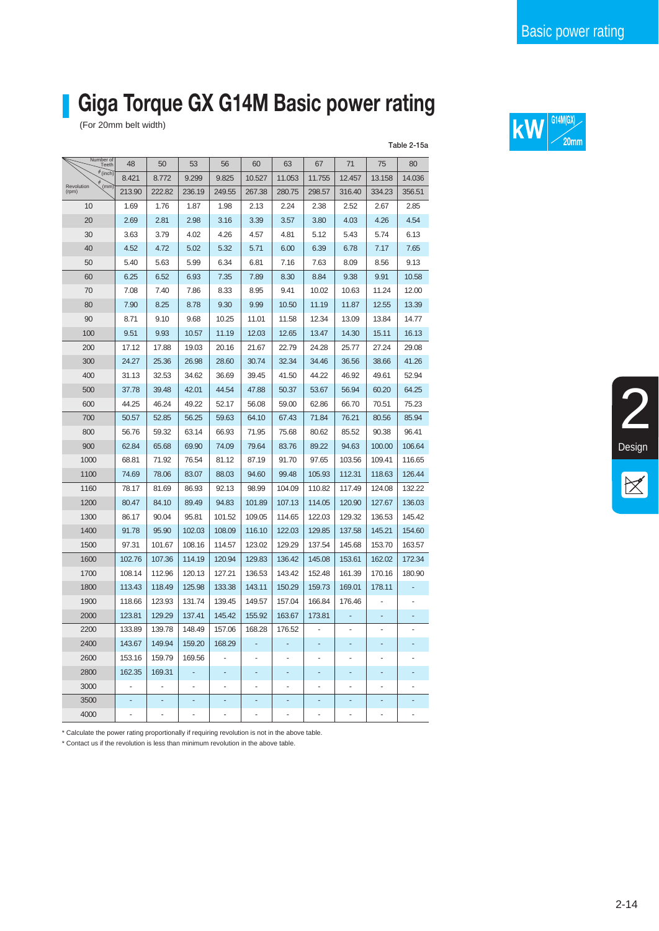## **Giga Torque GX G14M Basic power rating**

|                             |        |                |        |                          |        |        |                          |        |        | Table 2-15a |
|-----------------------------|--------|----------------|--------|--------------------------|--------|--------|--------------------------|--------|--------|-------------|
| Number of<br>Teeth          | 48     | 50             | 53     | 56                       | 60     | 63     | 67                       | 71     | 75     | 80          |
| $\phi$ (inch)               | 8.421  | 8.772          | 9.299  | 9.825                    | 10.527 | 11.053 | 11.755                   | 12.457 | 13.158 | 14.036      |
| (mm)<br>Revolution<br>(rpm) | 213.90 | 222.82         | 236.19 | 249.55                   | 267.38 | 280.75 | 298.57                   | 316.40 | 334.23 | 356.51      |
| 10                          | 1.69   | 1.76           | 1.87   | 1.98                     | 2.13   | 2.24   | 2.38                     | 2.52   | 2.67   | 2.85        |
| 20                          | 2.69   | 2.81           | 2.98   | 3.16                     | 3.39   | 3.57   | 3.80                     | 4.03   | 4.26   | 4.54        |
| 30                          | 3.63   | 3.79           | 4.02   | 4.26                     | 4.57   | 4.81   | 5.12                     | 5.43   | 5.74   | 6.13        |
| 40                          | 4.52   | 4.72           | 5.02   | 5.32                     | 5.71   | 6.00   | 6.39                     | 6.78   | 7.17   | 7.65        |
| 50                          | 5.40   | 5.63           | 5.99   | 6.34                     | 6.81   | 7.16   | 7.63                     | 8.09   | 8.56   | 9.13        |
| 60                          | 6.25   | 6.52           | 6.93   | 7.35                     | 7.89   | 8.30   | 8.84                     | 9.38   | 9.91   | 10.58       |
| 70                          | 7.08   | 7.40           | 7.86   | 8.33                     | 8.95   | 9.41   | 10.02                    | 10.63  | 11.24  | 12.00       |
| 80                          | 7.90   | 8.25           | 8.78   | 9.30                     | 9.99   | 10.50  | 11.19                    | 11.87  | 12.55  | 13.39       |
| 90                          | 8.71   | 9.10           | 9.68   | 10.25                    | 11.01  | 11.58  | 12.34                    | 13.09  | 13.84  | 14.77       |
| 100                         | 9.51   | 9.93           | 10.57  | 11.19                    | 12.03  | 12.65  | 13.47                    | 14.30  | 15.11  | 16.13       |
| 200                         | 17.12  | 17.88          | 19.03  | 20.16                    | 21.67  | 22.79  | 24.28                    | 25.77  | 27.24  | 29.08       |
| 300                         | 24.27  | 25.36          | 26.98  | 28.60                    | 30.74  | 32.34  | 34.46                    | 36.56  | 38.66  | 41.26       |
| 400                         | 31.13  | 32.53          | 34.62  | 36.69                    | 39.45  | 41.50  | 44.22                    | 46.92  | 49.61  | 52.94       |
| 500                         | 37.78  | 39.48          | 42.01  | 44.54                    | 47.88  | 50.37  | 53.67                    | 56.94  | 60.20  | 64.25       |
| 600                         | 44.25  | 46.24          | 49.22  | 52.17                    | 56.08  | 59.00  | 62.86                    | 66.70  | 70.51  | 75.23       |
| 700                         | 50.57  | 52.85          | 56.25  | 59.63                    | 64.10  | 67.43  | 71.84                    | 76.21  | 80.56  | 85.94       |
| 800                         | 56.76  | 59.32          | 63.14  | 66.93                    | 71.95  | 75.68  | 80.62                    | 85.52  | 90.38  | 96.41       |
| 900                         | 62.84  | 65.68          | 69.90  | 74.09                    | 79.64  | 83.76  | 89.22                    | 94.63  | 100.00 | 106.64      |
| 1000                        | 68.81  | 71.92          | 76.54  | 81.12                    | 87.19  | 91.70  | 97.65                    | 103.56 | 109.41 | 116.65      |
| 1100                        | 74.69  | 78.06          | 83.07  | 88.03                    | 94.60  | 99.48  | 105.93                   | 112.31 | 118.63 | 126.44      |
| 1160                        | 78.17  | 81.69          | 86.93  | 92.13                    | 98.99  | 104.09 | 110.82                   | 117.49 | 124.08 | 132.22      |
| 1200                        | 80.47  | 84.10          | 89.49  | 94.83                    | 101.89 | 107.13 | 114.05                   | 120.90 | 127.67 | 136.03      |
| 1300                        | 86.17  | 90.04          | 95.81  | 101.52                   | 109.05 | 114.65 | 122.03                   | 129.32 | 136.53 | 145.42      |
| 1400                        | 91.78  | 95.90          | 102.03 | 108.09                   | 116.10 | 122.03 | 129.85                   | 137.58 | 145.21 | 154.60      |
| 1500                        | 97.31  | 101.67         | 108.16 | 114.57                   | 123.02 | 129.29 | 137.54                   | 145.68 | 153.70 | 163.57      |
| 1600                        | 102.76 | 107.36         | 114.19 | 120.94                   | 129.83 | 136.42 | 145.08                   | 153.61 | 162.02 | 172.34      |
| 1700                        | 108.14 | 112.96         | 120.13 | 127.21                   | 136.53 | 143.42 | 152.48                   | 161.39 | 170.16 | 180.90      |
| 1800                        | 113.43 | 118.49         | 125.98 | 133.38                   | 143.11 | 150.29 | 159.73                   | 169.01 | 178.11 |             |
| 1900                        | 118.66 | 123.93         | 131.74 | 139.45                   | 149.57 | 157.04 | 166.84                   | 176.46 |        |             |
| 2000                        | 123.81 | 129.29         | 137.41 | 145.42                   | 155.92 | 163.67 | 173.81                   |        |        |             |
| 2200                        | 133.89 | 139.78         | 148.49 | 157.06                   | 168.28 | 176.52 |                          | ä,     | L,     | ٠           |
| 2400                        | 143.67 | 149.94         | 159.20 | 168.29                   |        |        |                          |        |        |             |
| 2600                        | 153.16 | 159.79         | 169.56 |                          |        |        |                          |        |        |             |
| 2800                        | 162.35 | 169.31         | ۰      | ÷                        |        |        |                          |        |        |             |
| 3000                        | ÷,     | ÷,             | ÷,     | ÷,                       | -      | ä,     | ä,                       | ä,     |        |             |
| 3500                        | ۰      | ۰              | ٠      | ۰                        | ۰      | ۰      | ٠                        | ۰      | ٠      |             |
| 4000                        | ÷,     | $\blacksquare$ | ÷,     | $\overline{\phantom{a}}$ | -      | ÷,     | $\overline{\phantom{a}}$ | ÷,     | ÷      |             |

(For 20mm belt width) **G14M(GX) G14M(GX)**  $\overline{\textbf{KW}}$   $\begin{bmatrix} \frac{\text{G14M(GX)}}{20\text{mm}} \end{bmatrix}$ 



\* Calculate the power rating proportionally if requiring revolution is not in the above table.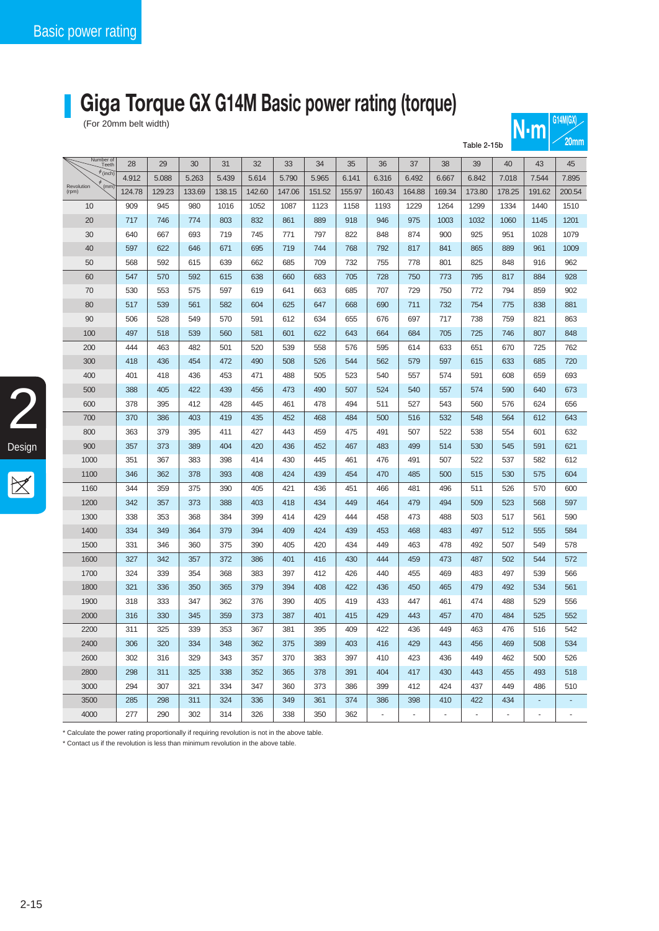## **Giga Torque GX G14M Basic power rating (torque)**

| (For 20mm belt width)<br>$N \cdot m$ |        |        |        |        |        |        |        |        |                |                |                |             | U(4)W(0)       |                |                          |
|--------------------------------------|--------|--------|--------|--------|--------|--------|--------|--------|----------------|----------------|----------------|-------------|----------------|----------------|--------------------------|
|                                      |        |        |        |        |        |        |        |        |                |                |                | Table 2-15b |                |                | 20 <sub>mm</sub>         |
| Number of<br>Teeth                   | 28     | 29     | 30     | 31     | 32     | 33     | 34     | 35     | 36             | 37             | 38             | 39          | 40             | 43             | 45                       |
| $\phi$ (inch)                        | 4.912  | 5.088  | 5.263  | 5.439  | 5.614  | 5.790  | 5.965  | 6.141  | 6.316          | 6.492          | 6.667          | 6.842       | 7.018          | 7.544          | 7.895                    |
| (mm)<br>Revolution<br>(rpm)          | 124.78 | 129.23 | 133.69 | 138.15 | 142.60 | 147.06 | 151.52 | 155.97 | 160.43         | 164.88         | 169.34         | 173.80      | 178.25         | 191.62         | 200.54                   |
| 10                                   | 909    | 945    | 980    | 1016   | 1052   | 1087   | 1123   | 1158   | 1193           | 1229           | 1264           | 1299        | 1334           | 1440           | 1510                     |
| 20                                   | 717    | 746    | 774    | 803    | 832    | 861    | 889    | 918    | 946            | 975            | 1003           | 1032        | 1060           | 1145           | 1201                     |
| 30                                   | 640    | 667    | 693    | 719    | 745    | 771    | 797    | 822    | 848            | 874            | 900            | 925         | 951            | 1028           | 1079                     |
| 40                                   | 597    | 622    | 646    | 671    | 695    | 719    | 744    | 768    | 792            | 817            | 841            | 865         | 889            | 961            | 1009                     |
| 50                                   | 568    | 592    | 615    | 639    | 662    | 685    | 709    | 732    | 755            | 778            | 801            | 825         | 848            | 916            | 962                      |
| 60                                   | 547    | 570    | 592    | 615    | 638    | 660    | 683    | 705    | 728            | 750            | 773            | 795         | 817            | 884            | 928                      |
| 70                                   | 530    | 553    | 575    | 597    | 619    | 641    | 663    | 685    | 707            | 729            | 750            | 772         | 794            | 859            | 902                      |
| 80                                   | 517    | 539    | 561    | 582    | 604    | 625    | 647    | 668    | 690            | 711            | 732            | 754         | 775            | 838            | 881                      |
| 90                                   | 506    | 528    | 549    | 570    | 591    | 612    | 634    | 655    | 676            | 697            | 717            | 738         | 759            | 821            | 863                      |
| 100                                  | 497    | 518    | 539    | 560    | 581    | 601    | 622    | 643    | 664            | 684            | 705            | 725         | 746            | 807            | 848                      |
| 200                                  | 444    | 463    | 482    | 501    | 520    | 539    | 558    | 576    | 595            | 614            | 633            | 651         | 670            | 725            | 762                      |
| 300                                  | 418    | 436    | 454    | 472    | 490    | 508    | 526    | 544    | 562            | 579            | 597            | 615         | 633            | 685            | 720                      |
| 400                                  | 401    | 418    | 436    | 453    | 471    | 488    | 505    | 523    | 540            | 557            | 574            | 591         | 608            | 659            | 693                      |
| 500                                  | 388    | 405    | 422    | 439    | 456    | 473    | 490    | 507    | 524            | 540            | 557            | 574         | 590            | 640            | 673                      |
| 600                                  | 378    | 395    | 412    | 428    | 445    | 461    | 478    | 494    | 511            | 527            | 543            | 560         | 576            | 624            | 656                      |
| 700                                  | 370    | 386    | 403    | 419    | 435    | 452    | 468    | 484    | 500            | 516            | 532            | 548         | 564            | 612            | 643                      |
| 800                                  | 363    | 379    | 395    | 411    | 427    | 443    | 459    | 475    | 491            | 507            | 522            | 538         | 554            | 601            | 632                      |
| 900                                  | 357    | 373    | 389    | 404    | 420    | 436    | 452    | 467    | 483            | 499            | 514            | 530         | 545            | 591            | 621                      |
| 1000                                 | 351    | 367    | 383    | 398    | 414    | 430    | 445    | 461    | 476            | 491            | 507            | 522         | 537            | 582            | 612                      |
| 1100                                 | 346    | 362    | 378    | 393    | 408    | 424    | 439    | 454    | 470            | 485            | 500            | 515         | 530            | 575            | 604                      |
| 1160                                 | 344    | 359    | 375    | 390    | 405    | 421    | 436    | 451    | 466            | 481            | 496            | 511         | 526            | 570            | 600                      |
| 1200                                 | 342    | 357    | 373    | 388    | 403    | 418    | 434    | 449    | 464            | 479            | 494            | 509         | 523            | 568            | 597                      |
| 1300                                 | 338    | 353    | 368    | 384    | 399    | 414    | 429    | 444    | 458            | 473            | 488            | 503         | 517            | 561            | 590                      |
| 1400                                 | 334    | 349    | 364    | 379    | 394    | 409    | 424    | 439    | 453            | 468            | 483            | 497         | 512            | 555            | 584                      |
| 1500                                 | 331    | 346    | 360    | 375    | 390    | 405    | 420    | 434    | 449            | 463            | 478            | 492         | 507            | 549            | 578                      |
| 1600                                 | 327    | 342    | 357    | 372    | 386    | 401    | 416    | 430    | 444            | 459            | 473            | 487         | 502            | 544            | 572                      |
| 1700                                 | 324    | 339    | 354    | 368    | 383    | 397    | 412    | 426    | 440            | 455            | 469            | 483         | 497            | 539            | 566                      |
| 1800                                 | 321    | 336    | 350    | 365    | 379    | 394    | 408    | 422    | 436            | 450            | 465            | 479         | 492            | 534            | 561                      |
| 1900                                 | 318    | 333    | 347    | 362    | 376    | 390    | 405    | 419    | 433            | 447            | 461            | 474         | 488            | 529            | 556                      |
| 2000                                 | 316    | 330    | 345    | 359    | 373    | 387    | 401    | 415    | 429            | 443            | 457            | 470         | 484            | 525            | 552                      |
| 2200                                 | 311    | 325    | 339    | 353    | 367    | 381    | 395    | 409    | 422            | 436            | 449            | 463         | 476            | 516            | 542                      |
| 2400                                 | 306    | 320    | 334    | 348    | 362    | 375    | 389    | 403    | 416            | 429            | 443            | 456         | 469            | 508            | 534                      |
| 2600                                 | 302    | 316    | 329    | 343    | 357    | 370    | 383    | 397    | 410            | 423            | 436            | 449         | 462            | 500            | 526                      |
| 2800                                 | 298    | 311    | 325    | 338    | 352    | 365    | 378    | 391    | 404            | 417            | 430            | 443         | 455            | 493            | 518                      |
| 3000                                 | 294    | 307    | 321    | 334    | 347    | 360    | 373    | 386    | 399            | 412            | 424            | 437         | 449            | 486            | 510                      |
| 3500                                 | 285    | 298    | 311    | 324    | 336    | 349    | 361    | 374    | 386            | 398            | 410            | 422         | 434            | ÷              | ÷                        |
| 4000                                 | 277    | 290    | 302    | 314    | 326    | 338    | 350    | 362    | $\blacksquare$ | $\blacksquare$ | $\blacksquare$ | $\omega$    | $\blacksquare$ | $\blacksquare$ | $\overline{\phantom{a}}$ |

\* Calculate the power rating proportionally if requiring revolution is not in the above table.

\* Contact us if the revolution is less than minimum revolution in the above table.